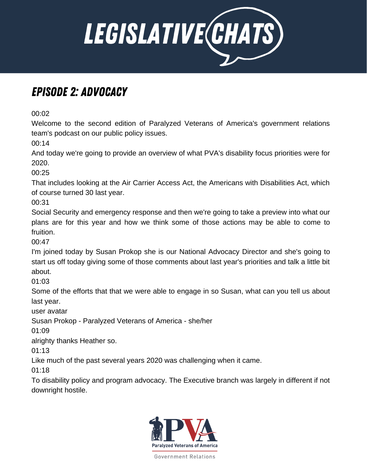

## Episode 2: Advocacy

00:02

Welcome to the second edition of Paralyzed Veterans of America's government relations team's podcast on our public policy issues.

00:14

And today we're going to provide an overview of what PVA's disability focus priorities were for 2020.

00:25

That includes looking at the Air Carrier Access Act, the Americans with Disabilities Act, which of course turned 30 last year.

00:31

Social Security and emergency response and then we're going to take a preview into what our plans are for this year and how we think some of those actions may be able to come to fruition.

00:47

I'm joined today by Susan Prokop she is our National Advocacy Director and she's going to start us off today giving some of those comments about last year's priorities and talk a little bit about.

01:03

Some of the efforts that that we were able to engage in so Susan, what can you tell us about last year.

user avatar

Susan Prokop - Paralyzed Veterans of America - she/her

01:09

alrighty thanks Heather so.

01:13

Like much of the past several years 2020 was challenging when it came.

 $01:18$ 

To disability policy and program advocacy. The Executive branch was largely in different if not downright hostile.

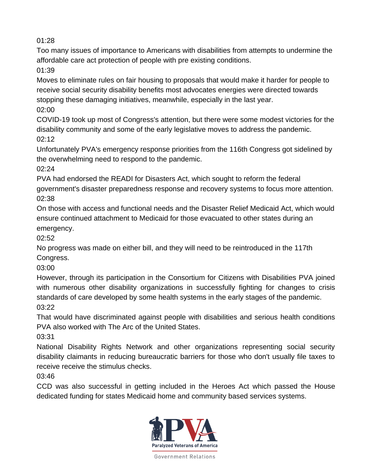Too many issues of importance to Americans with disabilities from attempts to undermine the affordable care act protection of people with pre existing conditions.

01:39

Moves to eliminate rules on fair housing to proposals that would make it harder for people to receive social security disability benefits most advocates energies were directed towards stopping these damaging initiatives, meanwhile, especially in the last year. 02:00

COVID-19 took up most of Congress's attention, but there were some modest victories for the disability community and some of the early legislative moves to address the pandemic.  $02.12$ 

Unfortunately PVA's emergency response priorities from the 116th Congress got sidelined by the overwhelming need to respond to the pandemic.

02:24

PVA had endorsed the READI for Disasters Act, which sought to reform the federal government's disaster preparedness response and recovery systems to focus more attention. 02:38

On those with access and functional needs and the Disaster Relief Medicaid Act, which would ensure continued attachment to Medicaid for those evacuated to other states during an emergency.

02:52

No progress was made on either bill, and they will need to be reintroduced in the 117th Congress.

03:00

However, through its participation in the Consortium for Citizens with Disabilities PVA joined with numerous other disability organizations in successfully fighting for changes to crisis standards of care developed by some health systems in the early stages of the pandemic. 03:22

That would have discriminated against people with disabilities and serious health conditions PVA also worked with The Arc of the United States.

03:31

National Disability Rights Network and other organizations representing social security disability claimants in reducing bureaucratic barriers for those who don't usually file taxes to receive receive the stimulus checks.

03:46

CCD was also successful in getting included in the Heroes Act which passed the House dedicated funding for states Medicaid home and community based services systems.

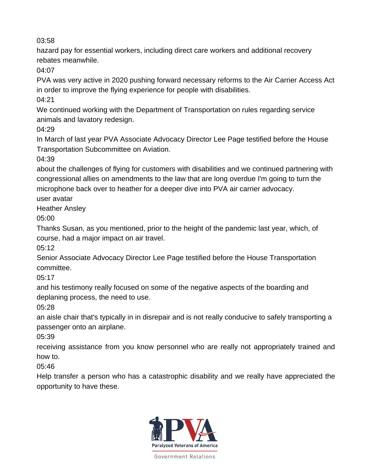hazard pay for essential workers, including direct care workers and additional recovery rebates meanwhile.

04:07

PVA was very active in 2020 pushing forward necessary reforms to the Air Carrier Access Act in order to improve the flying experience for people with disabilities.

04:21

We continued working with the Department of Transportation on rules regarding service animals and lavatory redesign.

04:29

In March of last year PVA Associate Advocacy Director Lee Page testified before the House Transportation Subcommittee on Aviation.

04:39

about the challenges of flying for customers with disabilities and we continued partnering with congressional allies on amendments to the law that are long overdue I'm going to turn the microphone back over to heather for a deeper dive into PVA air carrier advocacy.

user avatar

Heather Ansley

05:00

Thanks Susan, as you mentioned, prior to the height of the pandemic last year, which, of course, had a major impact on air travel.

05:12

Senior Associate Advocacy Director Lee Page testified before the House Transportation committee.

05:17

and his testimony really focused on some of the negative aspects of the boarding and deplaning process, the need to use.

05:28

an aisle chair that's typically in in disrepair and is not really conducive to safely transporting a passenger onto an airplane.

05:39

receiving assistance from you know personnel who are really not appropriately trained and how to.

05:46

Help transfer a person who has a catastrophic disability and we really have appreciated the opportunity to have these.

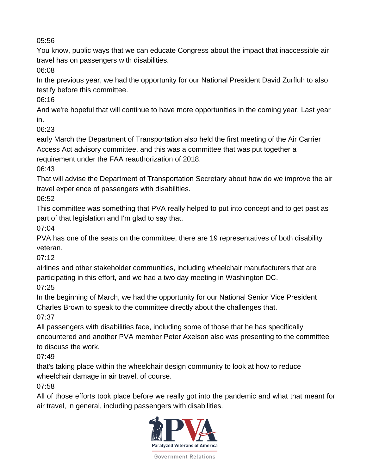You know, public ways that we can educate Congress about the impact that inaccessible air travel has on passengers with disabilities.

06:08

In the previous year, we had the opportunity for our National President David Zurfluh to also testify before this committee.

06:16

And we're hopeful that will continue to have more opportunities in the coming year. Last year in.

06:23

early March the Department of Transportation also held the first meeting of the Air Carrier Access Act advisory committee, and this was a committee that was put together a requirement under the FAA reauthorization of 2018.

06:43

That will advise the Department of Transportation Secretary about how do we improve the air travel experience of passengers with disabilities.

06:52

This committee was something that PVA really helped to put into concept and to get past as part of that legislation and I'm glad to say that.

07:04

PVA has one of the seats on the committee, there are 19 representatives of both disability veteran.

07:12

airlines and other stakeholder communities, including wheelchair manufacturers that are participating in this effort, and we had a two day meeting in Washington DC. 07:25

In the beginning of March, we had the opportunity for our National Senior Vice President Charles Brown to speak to the committee directly about the challenges that.

07:37

All passengers with disabilities face, including some of those that he has specifically encountered and another PVA member Peter Axelson also was presenting to the committee to discuss the work.

07:49

that's taking place within the wheelchair design community to look at how to reduce wheelchair damage in air travel, of course.

07:58

All of those efforts took place before we really got into the pandemic and what that meant for air travel, in general, including passengers with disabilities.

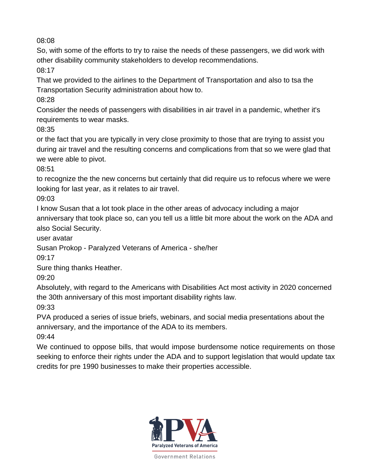So, with some of the efforts to try to raise the needs of these passengers, we did work with other disability community stakeholders to develop recommendations.

08:17

That we provided to the airlines to the Department of Transportation and also to tsa the Transportation Security administration about how to.

08:28

Consider the needs of passengers with disabilities in air travel in a pandemic, whether it's requirements to wear masks.

08:35

or the fact that you are typically in very close proximity to those that are trying to assist you during air travel and the resulting concerns and complications from that so we were glad that we were able to pivot.

08:51

to recognize the the new concerns but certainly that did require us to refocus where we were looking for last year, as it relates to air travel.

09:03

I know Susan that a lot took place in the other areas of advocacy including a major anniversary that took place so, can you tell us a little bit more about the work on the ADA and also Social Security.

user avatar

Susan Prokop - Paralyzed Veterans of America - she/her

09:17

Sure thing thanks Heather.

09:20

Absolutely, with regard to the Americans with Disabilities Act most activity in 2020 concerned the 30th anniversary of this most important disability rights law.

09:33

PVA produced a series of issue briefs, webinars, and social media presentations about the anniversary, and the importance of the ADA to its members.

09:44

We continued to oppose bills, that would impose burdensome notice requirements on those seeking to enforce their rights under the ADA and to support legislation that would update tax credits for pre 1990 businesses to make their properties accessible.

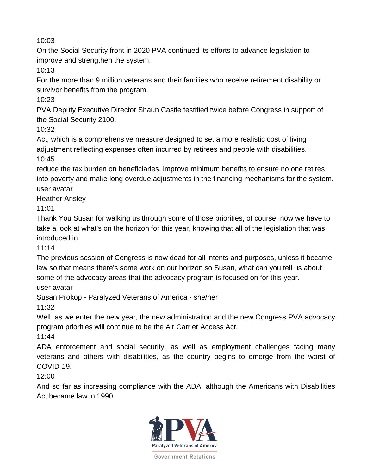On the Social Security front in 2020 PVA continued its efforts to advance legislation to improve and strengthen the system.

10:13

For the more than 9 million veterans and their families who receive retirement disability or survivor benefits from the program.

10:23

PVA Deputy Executive Director Shaun Castle testified twice before Congress in support of the Social Security 2100.

10:32

Act, which is a comprehensive measure designed to set a more realistic cost of living adjustment reflecting expenses often incurred by retirees and people with disabilities. 10:45

reduce the tax burden on beneficiaries, improve minimum benefits to ensure no one retires into poverty and make long overdue adjustments in the financing mechanisms for the system. user avatar

Heather Ansley

11:01

Thank You Susan for walking us through some of those priorities, of course, now we have to take a look at what's on the horizon for this year, knowing that all of the legislation that was introduced in.

11:14

The previous session of Congress is now dead for all intents and purposes, unless it became law so that means there's some work on our horizon so Susan, what can you tell us about some of the advocacy areas that the advocacy program is focused on for this year.

user avatar

Susan Prokop - Paralyzed Veterans of America - she/her

11:32

Well, as we enter the new year, the new administration and the new Congress PVA advocacy program priorities will continue to be the Air Carrier Access Act.

11:44

ADA enforcement and social security, as well as employment challenges facing many veterans and others with disabilities, as the country begins to emerge from the worst of COVID-19.

12:00

And so far as increasing compliance with the ADA, although the Americans with Disabilities Act became law in 1990.

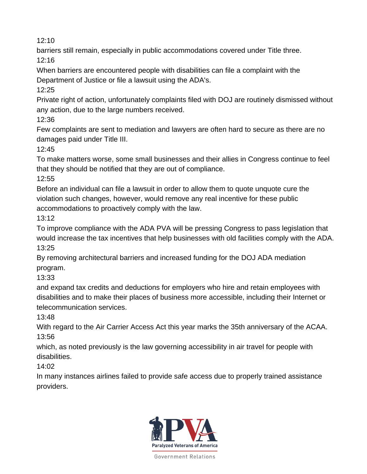barriers still remain, especially in public accommodations covered under Title three. 12:16

When barriers are encountered people with disabilities can file a complaint with the Department of Justice or file a lawsuit using the ADA's.

12:25

Private right of action, unfortunately complaints filed with DOJ are routinely dismissed without any action, due to the large numbers received.

12:36

Few complaints are sent to mediation and lawyers are often hard to secure as there are no damages paid under Title III.

12:45

To make matters worse, some small businesses and their allies in Congress continue to feel that they should be notified that they are out of compliance.

12:55

Before an individual can file a lawsuit in order to allow them to quote unquote cure the violation such changes, however, would remove any real incentive for these public accommodations to proactively comply with the law.

13:12

To improve compliance with the ADA PVA will be pressing Congress to pass legislation that would increase the tax incentives that help businesses with old facilities comply with the ADA. 13:25

By removing architectural barriers and increased funding for the DOJ ADA mediation program.

13:33

and expand tax credits and deductions for employers who hire and retain employees with disabilities and to make their places of business more accessible, including their Internet or telecommunication services.

13:48

With regard to the Air Carrier Access Act this year marks the 35th anniversary of the ACAA. 13:56

which, as noted previously is the law governing accessibility in air travel for people with disabilities.

14:02

In many instances airlines failed to provide safe access due to properly trained assistance providers.

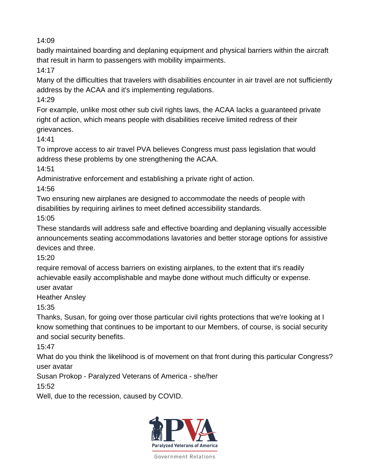badly maintained boarding and deplaning equipment and physical barriers within the aircraft that result in harm to passengers with mobility impairments.

14:17

Many of the difficulties that travelers with disabilities encounter in air travel are not sufficiently address by the ACAA and it's implementing regulations.

14:29

For example, unlike most other sub civil rights laws, the ACAA lacks a guaranteed private right of action, which means people with disabilities receive limited redress of their grievances.

14:41

To improve access to air travel PVA believes Congress must pass legislation that would address these problems by one strengthening the ACAA.

14:51

Administrative enforcement and establishing a private right of action.

14:56

Two ensuring new airplanes are designed to accommodate the needs of people with disabilities by requiring airlines to meet defined accessibility standards.

15:05

These standards will address safe and effective boarding and deplaning visually accessible announcements seating accommodations lavatories and better storage options for assistive devices and three.

15:20

require removal of access barriers on existing airplanes, to the extent that it's readily achievable easily accomplishable and maybe done without much difficulty or expense. user avatar

Heather Ansley

15:35

Thanks, Susan, for going over those particular civil rights protections that we're looking at I know something that continues to be important to our Members, of course, is social security and social security benefits.

15:47

What do you think the likelihood is of movement on that front during this particular Congress? user avatar

Susan Prokop - Paralyzed Veterans of America - she/her

15:52

Well, due to the recession, caused by COVID.

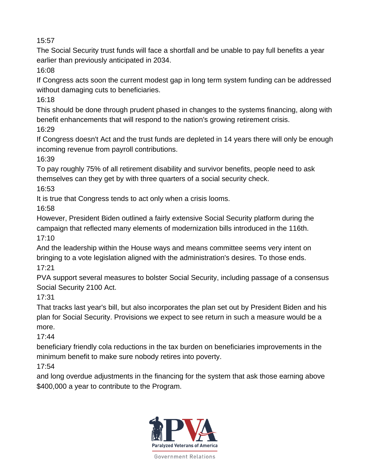The Social Security trust funds will face a shortfall and be unable to pay full benefits a year earlier than previously anticipated in 2034.

16:08

If Congress acts soon the current modest gap in long term system funding can be addressed without damaging cuts to beneficiaries.

16:18

This should be done through prudent phased in changes to the systems financing, along with benefit enhancements that will respond to the nation's growing retirement crisis. 16:29

If Congress doesn't Act and the trust funds are depleted in 14 years there will only be enough incoming revenue from payroll contributions.

16:39

To pay roughly 75% of all retirement disability and survivor benefits, people need to ask themselves can they get by with three quarters of a social security check.

16:53

It is true that Congress tends to act only when a crisis looms.

16:58

However, President Biden outlined a fairly extensive Social Security platform during the campaign that reflected many elements of modernization bills introduced in the 116th. 17:10

And the leadership within the House ways and means committee seems very intent on bringing to a vote legislation aligned with the administration's desires. To those ends. 17:21

PVA support several measures to bolster Social Security, including passage of a consensus Social Security 2100 Act.

17:31

That tracks last year's bill, but also incorporates the plan set out by President Biden and his plan for Social Security. Provisions we expect to see return in such a measure would be a more.

17:44

beneficiary friendly cola reductions in the tax burden on beneficiaries improvements in the minimum benefit to make sure nobody retires into poverty.

17:54

and long overdue adjustments in the financing for the system that ask those earning above \$400,000 a year to contribute to the Program.

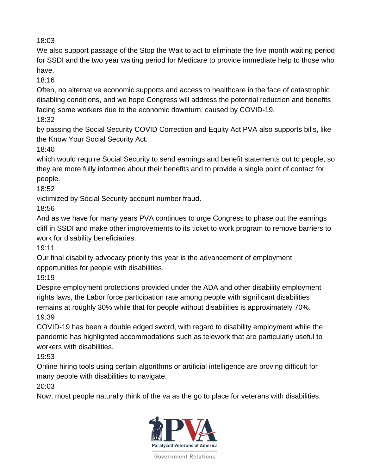We also support passage of the Stop the Wait to act to eliminate the five month waiting period for SSDI and the two year waiting period for Medicare to provide immediate help to those who have.

18:16

Often, no alternative economic supports and access to healthcare in the face of catastrophic disabling conditions, and we hope Congress will address the potential reduction and benefits facing some workers due to the economic downturn, caused by COVID-19.

18:32

by passing the Social Security COVID Correction and Equity Act PVA also supports bills, like the Know Your Social Security Act.

18:40

which would require Social Security to send earnings and benefit statements out to people, so they are more fully informed about their benefits and to provide a single point of contact for people.

18:52

victimized by Social Security account number fraud.

18:56

And as we have for many years PVA continues to urge Congress to phase out the earnings cliff in SSDI and make other improvements to its ticket to work program to remove barriers to work for disability beneficiaries.

19:11

Our final disability advocacy priority this year is the advancement of employment opportunities for people with disabilities.

19:19

Despite employment protections provided under the ADA and other disability employment rights laws, the Labor force participation rate among people with significant disabilities remains at roughly 30% while that for people without disabilities is approximately 70%. 19:39

COVID-19 has been a double edged sword, with regard to disability employment while the pandemic has highlighted accommodations such as telework that are particularly useful to workers with disabilities.

19:53

Online hiring tools using certain algorithms or artificial intelligence are proving difficult for many people with disabilities to navigate.

20:03

Now, most people naturally think of the va as the go to place for veterans with disabilities.

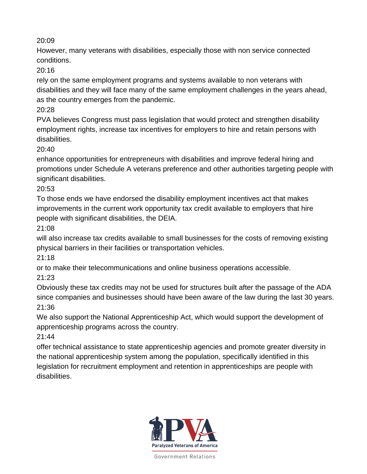However, many veterans with disabilities, especially those with non service connected conditions.

20:16

rely on the same employment programs and systems available to non veterans with disabilities and they will face many of the same employment challenges in the years ahead, as the country emerges from the pandemic.

20:28

PVA believes Congress must pass legislation that would protect and strengthen disability employment rights, increase tax incentives for employers to hire and retain persons with disabilities.

20:40

enhance opportunities for entrepreneurs with disabilities and improve federal hiring and promotions under Schedule A veterans preference and other authorities targeting people with significant disabilities.

20:53

To those ends we have endorsed the disability employment incentives act that makes improvements in the current work opportunity tax credit available to employers that hire people with significant disabilities, the DEIA.

21:08

will also increase tax credits available to small businesses for the costs of removing existing physical barriers in their facilities or transportation vehicles.

21:18

or to make their telecommunications and online business operations accessible.

21:23

Obviously these tax credits may not be used for structures built after the passage of the ADA since companies and businesses should have been aware of the law during the last 30 years. 21:36

We also support the National Apprenticeship Act, which would support the development of apprenticeship programs across the country.

21:44

offer technical assistance to state apprenticeship agencies and promote greater diversity in the national apprenticeship system among the population, specifically identified in this legislation for recruitment employment and retention in apprenticeships are people with disabilities.